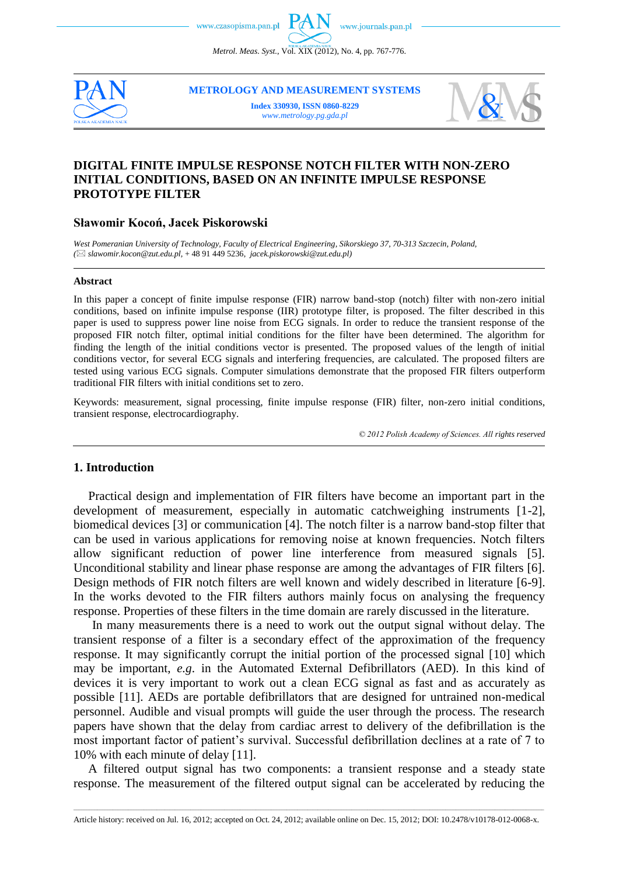*Metrol. Meas. Syst.*, Vol. XIX (2012), No. 4, pp. 767-776.



**METROLOGY AND MEASUREMENT SYSTEMS**

**Index 330930, ISSN 0860-8229** *www.metrology.pg.gda.pl*



# **DIGITAL FINITE IMPULSE RESPONSE NOTCH FILTER WITH NON-ZERO INITIAL CONDITIONS, BASED ON AN INFINITE IMPULSE RESPONSE PROTOTYPE FILTER**

# **Sławomir Kocoń, Jacek Piskorowski**

*West Pomeranian University of Technology, Faculty of Electrical Engineering, Sikorskiego 37, 70-313 Szczecin, Poland, ( slawomir.kocon@zut.edu.pl,* + 48 91 449 5236, *jacek.piskorowski@zut.edu.pl)*

#### **Abstract**

In this paper a concept of finite impulse response (FIR) narrow band-stop (notch) filter with non-zero initial conditions, based on infinite impulse response (IIR) prototype filter, is proposed. The filter described in this paper is used to suppress power line noise from ECG signals. In order to reduce the transient response of the proposed FIR notch filter, optimal initial conditions for the filter have been determined. The algorithm for finding the length of the initial conditions vector is presented. The proposed values of the length of initial conditions vector, for several ECG signals and interfering frequencies, are calculated. The proposed filters are tested using various ECG signals. Computer simulations demonstrate that the proposed FIR filters outperform traditional FIR filters with initial conditions set to zero.

Keywords: measurement, signal processing, finite impulse response (FIR) filter, non-zero initial conditions, transient response, electrocardiography.

*© 2012 Polish Academy of Sciences. All rights reserved*

# **1. Introduction**

Practical design and implementation of FIR filters have become an important part in the development of measurement, especially in automatic catchweighing instruments [1-2], biomedical devices [3] or communication [4]. The notch filter is a narrow band-stop filter that can be used in various applications for removing noise at known frequencies. Notch filters allow significant reduction of power line interference from measured signals [5]. Unconditional stability and linear phase response are among the advantages of FIR filters [6]. Design methods of FIR notch filters are well known and widely described in literature [6-9]. In the works devoted to the FIR filters authors mainly focus on analysing the frequency response. Properties of these filters in the time domain are rarely discussed in the literature.

In many measurements there is a need to work out the output signal without delay. The transient response of a filter is a secondary effect of the approximation of the frequency response. It may significantly corrupt the initial portion of the processed signal [10] which may be important, *e.g*. in the Automated External Defibrillators (AED). In this kind of devices it is very important to work out a clean ECG signal as fast and as accurately as possible [11]. AEDs are portable defibrillators that are designed for untrained non-medical personnel. Audible and visual prompts will guide the user through the process. The research papers have shown that the delay from cardiac arrest to delivery of the defibrillation is the most important factor of patient's survival. Successful defibrillation declines at a rate of 7 to 10% with each minute of delay [11].

A filtered output signal has two components: a transient response and a steady state response. The measurement of the filtered output signal can be accelerated by reducing the

\_\_\_\_\_\_\_\_\_\_\_\_\_\_\_\_\_\_\_\_\_\_\_\_\_\_\_\_\_\_\_\_\_\_\_\_\_\_\_\_\_\_\_\_\_\_\_\_\_\_\_\_\_\_\_\_\_\_\_\_\_\_\_\_\_\_\_\_\_\_\_\_\_\_\_\_\_\_\_\_\_\_\_\_\_\_\_\_\_\_\_\_\_\_\_\_\_\_\_\_\_\_\_\_\_\_\_\_\_\_\_\_\_\_\_\_\_\_\_\_\_\_\_\_\_\_\_\_\_\_\_\_\_\_\_\_\_\_\_\_\_\_\_\_\_\_\_\_\_\_\_\_\_\_\_\_\_\_\_\_\_\_\_\_\_\_\_\_\_\_\_\_\_\_\_\_\_\_\_\_\_ Article history: received on Jul. 16, 2012; accepted on Oct. 24, 2012; available online on Dec. 15, 2012; DOI: 10.2478/v10178-012-0068-x.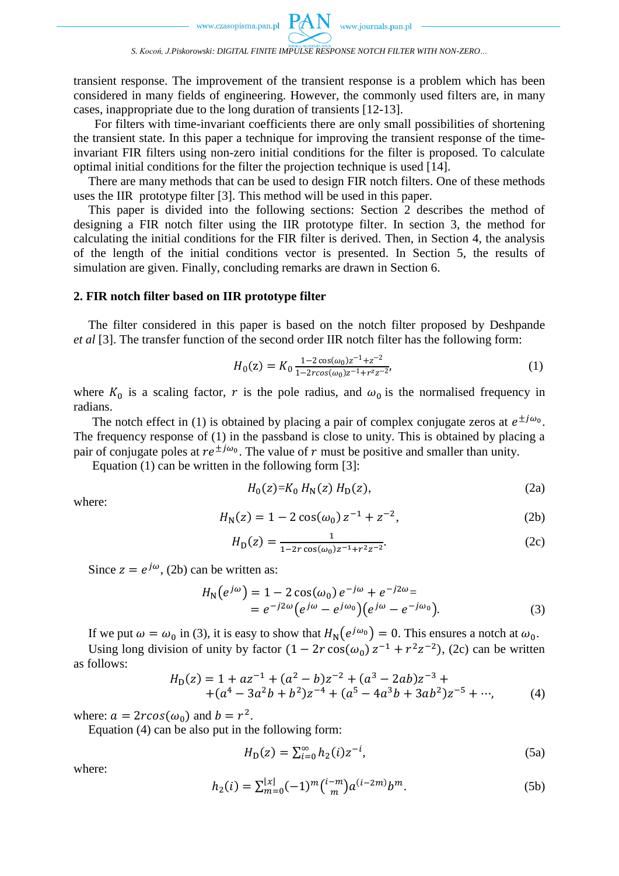transient response. The improvement of the transient response is a problem which has been considered in many fields of engineering. However, the commonly used filters are, in many cases, inappropriate due to the long duration of transients [12-13].

 For filters with time-invariant coefficients there are only small possibilities of shortening the transient state. In this paper a technique for improving the transient response of the timeinvariant FIR filters using non-zero initial conditions for the filter is proposed. To calculate optimal initial conditions for the filter the projection technique is used [14].

There are many methods that can be used to design FIR notch filters. One of these methods uses the IIR prototype filter [3]. This method will be used in this paper.

This paper is divided into the following sections: Section 2 describes the method of designing a FIR notch filter using the IIR prototype filter. In section 3, the method for calculating the initial conditions for the FIR filter is derived. Then, in Section 4, the analysis of the length of the initial conditions vector is presented. In Section 5, the results of simulation are given. Finally, concluding remarks are drawn in Section 6.

#### **2. FIR notch filter based on IIR prototype filter**

The filter considered in this paper is based on the notch filter proposed by Deshpande *et al* [3]. The transfer function of the second order IIR notch filter has the following form:

$$
H_0(z) = K_0 \frac{1 - 2\cos(\omega_0)z^{-1} + z^{-2}}{1 - 2rcos(\omega_0)z^{-1} + r^2 z^{-2}},
$$
\n(1)

where  $K_0$  is a scaling factor, r is the pole radius, and  $\omega_0$  is the normalised frequency in radians.

The notch effect in (1) is obtained by placing a pair of complex conjugate zeros at  $e^{\pm j\omega_0}$ . The frequency response of (1) in the passband is close to unity. This is obtained by placing a pair of conjugate poles at  $re^{\pm j\omega_0}$ . The value of r must be positive and smaller than unity.

Equation (1) can be written in the following form [3]:

$$
H_0(z) = K_0 \, H_N(z) \, H_D(z),\tag{2a}
$$

where:

$$
H_N(z) = 1 - 2\cos(\omega_0) z^{-1} + z^{-2},\tag{2b}
$$

$$
H_{\mathcal{D}}(z) = \frac{1}{1 - 2r \cos(\omega_0) z^{-1} + r^2 z^{-2}}.
$$
 (2c)

Since  $z = e^{j\omega}$ , (2b) can be written as:

$$
H_{\rm N}(e^{j\omega}) = 1 - 2\cos(\omega_0) e^{-j\omega} + e^{-j2\omega} =
$$
  
=  $e^{-j2\omega} (e^{j\omega} - e^{j\omega_0}) (e^{j\omega} - e^{-j\omega_0}).$  (3)

If we put  $\omega = \omega_0$  in (3), it is easy to show that  $H_N(e^{j\omega_0}) = 0$ . This ensures a notch at  $\omega_0$ .

Using long division of unity by factor  $(1 - 2r \cos(\omega_0) z^{-1} + r^2 z^{-2})$ , (2c) can be written as follows:

$$
H_D(z) = 1 + az^{-1} + (a^2 - b)z^{-2} + (a^3 - 2ab)z^{-3} + + (a^4 - 3a^2b + b^2)z^{-4} + (a^5 - 4a^3b + 3ab^2)z^{-5} + \cdots,
$$
 (4)

where:  $a = 2r\cos(\omega_0)$  and  $b = r^2$ .

Equation (4) can be also put in the following form:

$$
H_{\rm D}(z) = \sum_{i=0}^{\infty} h_2(i) z^{-i},\tag{5a}
$$

where:

$$
h_2(i) = \sum_{m=0}^{\lfloor x \rfloor} (-1)^m \binom{i-m}{m} a^{(i-2m)} b^m.
$$
 (5b)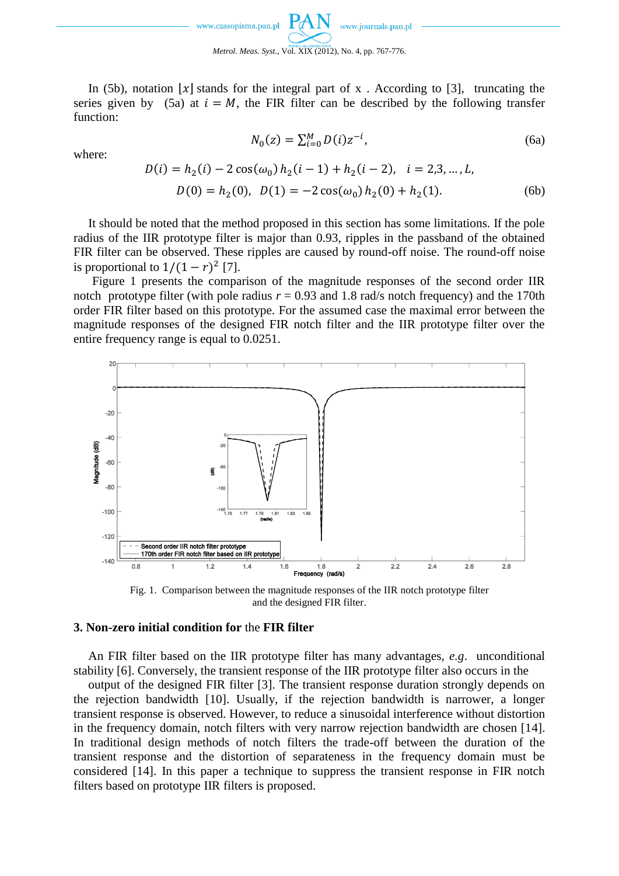

In (5b), notation  $|x|$  stands for the integral part of x. According to [3], truncating the series given by (5a) at  $i = M$ , the FIR filter can be described by the following transfer function:

where:

$$
N_0(z) = \sum_{i=0}^{M} D(i) z^{-i},
$$
\n(6a)

$$
D(i) = h_2(i) - 2\cos(\omega_0) h_2(i-1) + h_2(i-2), \quad i = 2, 3, ..., L,
$$
  

$$
D(0) = h_2(0), \quad D(1) = -2\cos(\omega_0) h_2(0) + h_2(1).
$$
 (6b)

It should be noted that the method proposed in this section has some limitations. If the pole radius of the IIR prototype filter is major than 0.93, ripples in the passband of the obtained FIR filter can be observed. These ripples are caused by round-off noise. The round-off noise is proportional to  $1/(1 - r)^2$  [7].

Figure 1 presents the comparison of the magnitude responses of the second order IIR notch prototype filter (with pole radius  $r = 0.93$  and 1.8 rad/s notch frequency) and the 170th order FIR filter based on this prototype. For the assumed case the maximal error between the magnitude responses of the designed FIR notch filter and the IIR prototype filter over the entire frequency range is equal to 0.0251.



Fig. 1. Comparison between the magnitude responses of the IIR notch prototype filter and the designed FIR filter.

#### **3. Non-zero initial condition for** the **FIR filter**

An FIR filter based on the IIR prototype filter has many advantages, *e.g*. unconditional stability [6]. Conversely, the transient response of the IIR prototype filter also occurs in the

output of the designed FIR filter [3]. The transient response duration strongly depends on the rejection bandwidth [10]. Usually, if the rejection bandwidth is narrower, a longer transient response is observed. However, to reduce a sinusoidal interference without distortion in the frequency domain, notch filters with very narrow rejection bandwidth are chosen [14]. In traditional design methods of notch filters the trade-off between the duration of the transient response and the distortion of separateness in the frequency domain must be considered [14]. In this paper a technique to suppress the transient response in FIR notch filters based on prototype IIR filters is proposed.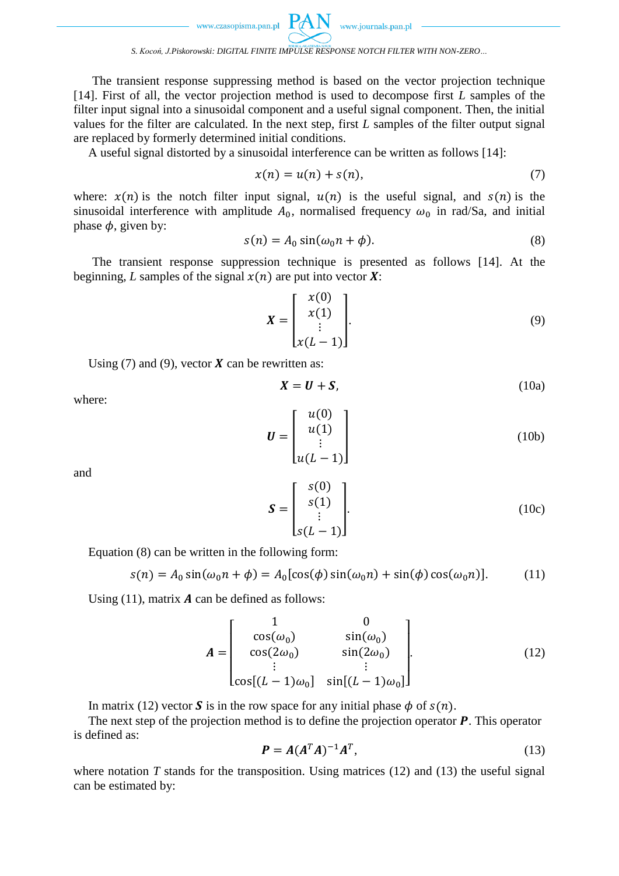www.journals.pan.pl

#### *S. Kocoń, J.Piskorowski: DIGITAL FINITE IMPULSE RESPONSE NOTCH FILTER WITH NON-ZERO…*

The transient response suppressing method is based on the vector projection technique [14]. First of all, the vector projection method is used to decompose first *L* samples of the filter input signal into a sinusoidal component and a useful signal component. Then, the initial values for the filter are calculated. In the next step, first *L* samples of the filter output signal are replaced by formerly determined initial conditions.

A useful signal distorted by a sinusoidal interference can be written as follows [14]:

$$
x(n) = u(n) + s(n),\tag{7}
$$

where:  $x(n)$  is the notch filter input signal,  $u(n)$  is the useful signal, and  $s(n)$  is the sinusoidal interference with amplitude  $A_0$ , normalised frequency  $\omega_0$  in rad/Sa, and initial phase  $\phi$ , given by:

$$
s(n) = A_0 \sin(\omega_0 n + \phi).
$$
 (8)

The transient response suppression technique is presented as follows [14]. At the beginning, *L* samples of the signal  $x(n)$  are put into vector **X**:

$$
X = \begin{bmatrix} x(0) \\ x(1) \\ \vdots \\ x(L-1) \end{bmatrix} . \tag{9}
$$

Using (7) and (9), vector  $X$  can be rewritten as:

where:

$$
X = U + S,\tag{10a}
$$

$$
\boldsymbol{U} = \begin{bmatrix} u(0) \\ u(1) \\ \vdots \\ u(L-1) \end{bmatrix}
$$
 (10b)

and

$$
\mathbf{S} = \begin{bmatrix} s(0) \\ s(1) \\ \vdots \\ s(L-1) \end{bmatrix} . \tag{10c}
$$

Equation (8) can be written in the following form:

$$
s(n) = A_0 \sin(\omega_0 n + \phi) = A_0 [\cos(\phi) \sin(\omega_0 n) + \sin(\phi) \cos(\omega_0 n)].
$$
 (11)

Using  $(11)$ , matrix **A** can be defined as follows:

$$
\mathbf{A} = \begin{bmatrix} 1 & 0 \\ \cos(\omega_0) & \sin(\omega_0) \\ \cos(2\omega_0) & \sin(2\omega_0) \\ \vdots & \vdots \\ \cos[(L-1)\omega_0] & \sin[(L-1)\omega_0] \end{bmatrix} .
$$
 (12)

In matrix (12) vector **S** is in the row space for any initial phase  $\phi$  of  $s(n)$ .

The next step of the projection method is to define the projection operator  $P$ . This operator is defined as:

$$
\boldsymbol{P} = \boldsymbol{A} (\boldsymbol{A}^T \boldsymbol{A})^{-1} \boldsymbol{A}^T,\tag{13}
$$

where notation  $T$  stands for the transposition. Using matrices  $(12)$  and  $(13)$  the useful signal can be estimated by: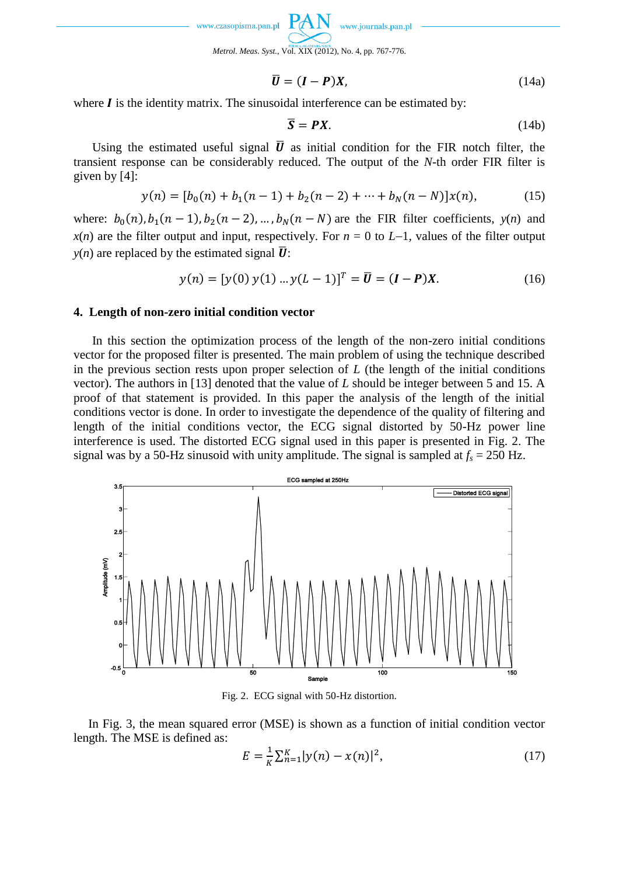

$$
\overline{\mathbf{U}} = (\mathbf{I} - \mathbf{P})\mathbf{X},\tag{14a}
$$

where  $\boldsymbol{I}$  is the identity matrix. The sinusoidal interference can be estimated by:

$$
\overline{S} = PX.
$$
 (14b)

Using the estimated useful signal  $\overline{U}$  as initial condition for the FIR notch filter, the transient response can be considerably reduced. The output of the *N*-th order FIR filter is given by [4]:

$$
y(n) = [b_0(n) + b_1(n-1) + b_2(n-2) + \dots + b_N(n-N)]x(n), \tag{15}
$$

where:  $b_0(n)$ ,  $b_1(n-1)$ ,  $b_2(n-2)$ , ...,  $b_N(n-N)$  are the FIR filter coefficients,  $y(n)$  and *x*(*n*) are the filter output and input, respectively. For  $n = 0$  to  $L-1$ , values of the filter output  $y(n)$  are replaced by the estimated signal  $\overline{U}$ :

$$
y(n) = [y(0) y(1) ... y(L-1)]T = \overline{U} = (I - P)X.
$$
 (16)

## **4. Length of non-zero initial condition vector**

In this section the optimization process of the length of the non-zero initial conditions vector for the proposed filter is presented. The main problem of using the technique described in the previous section rests upon proper selection of *L* (the length of the initial conditions vector). The authors in [13] denoted that the value of *L* should be integer between 5 and 15. A proof of that statement is provided. In this paper the analysis of the length of the initial conditions vector is done. In order to investigate the dependence of the quality of filtering and length of the initial conditions vector, the ECG signal distorted by 50-Hz power line interference is used. The distorted ECG signal used in this paper is presented in Fig. 2. The signal was by a 50-Hz sinusoid with unity amplitude. The signal is sampled at  $f_s = 250$  Hz.



Fig. 2. ECG signal with 50-Hz distortion.

In Fig. 3, the mean squared error (MSE) is shown as a function of initial condition vector length. The MSE is defined as:

$$
E = \frac{1}{K} \sum_{n=1}^{K} |y(n) - x(n)|^2,
$$
\n(17)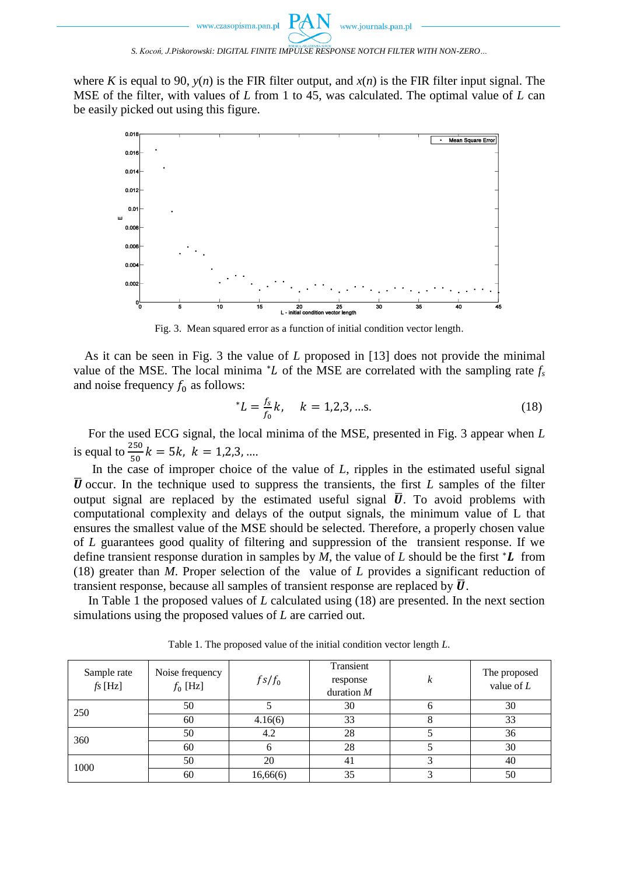*S. Kocoń, J.Piskorowski: DIGITAL FINITE IMPULSE RESPONSE NOTCH FILTER WITH NON-ZERO…*

where *K* is equal to 90,  $y(n)$  is the FIR filter output, and  $x(n)$  is the FIR filter input signal. The MSE of the filter, with values of *L* from 1 to 45, was calculated. The optimal value of *L* can be easily picked out using this figure.



Fig. 3. Mean squared error as a function of initial condition vector length.

As it can be seen in Fig. 3 the value of *L* proposed in [13] does not provide the minimal value of the MSE. The local minima  $^*L$  of the MSE are correlated with the sampling rate  $f_s$ and noise frequency  $f_0$  as follows:

$$
^*L = \frac{f_s}{f_0}k, \quad k = 1, 2, 3, \dots s. \tag{18}
$$

For the used ECG signal, the local minima of the MSE, presented in Fig. 3 appear when *L* is equal to  $\frac{250}{50}k = 5k$ ,  $k = 1,2,3, ...$ 

In the case of improper choice of the value of *L*, ripples in the estimated useful signal  $\bar{U}$  occur. In the technique used to suppress the transients, the first L samples of the filter output signal are replaced by the estimated useful signal  $\overline{U}$ . To avoid problems with computational complexity and delays of the output signals, the minimum value of L that ensures the smallest value of the MSE should be selected. Therefore, a properly chosen value of *L* guarantees good quality of filtering and suppression of the transient response. If we define transient response duration in samples by  $M$ , the value of  $L$  should be the first  $^*L$  from (18) greater than *M*. Proper selection of the value of *L* provides a significant reduction of transient response, because all samples of transient response are replaced by  $\overline{U}$ .

In Table 1 the proposed values of *L* calculated using (18) are presented. In the next section simulations using the proposed values of *L* are carried out.

| Sample rate<br>$fs$ [Hz] | Noise frequency<br>$f_0$ [Hz] | $fs/f_0$ | Transient<br>response<br>duration $M$ | k | The proposed<br>value of $L$ |
|--------------------------|-------------------------------|----------|---------------------------------------|---|------------------------------|
| 250                      | 50                            |          | 30                                    | O | 30                           |
|                          | 60                            | 4.16(6)  | 33                                    |   | 33                           |
| 360                      | 50                            | 4.2      | 28                                    |   | 36                           |
|                          | 60                            |          | 28                                    |   | 30                           |
| 1000                     | 50                            | 20       | 41                                    |   | 40                           |
|                          | 60                            | 16,66(6) | 35                                    |   | 50                           |

Table 1. The proposed value of the initial condition vector length *L*.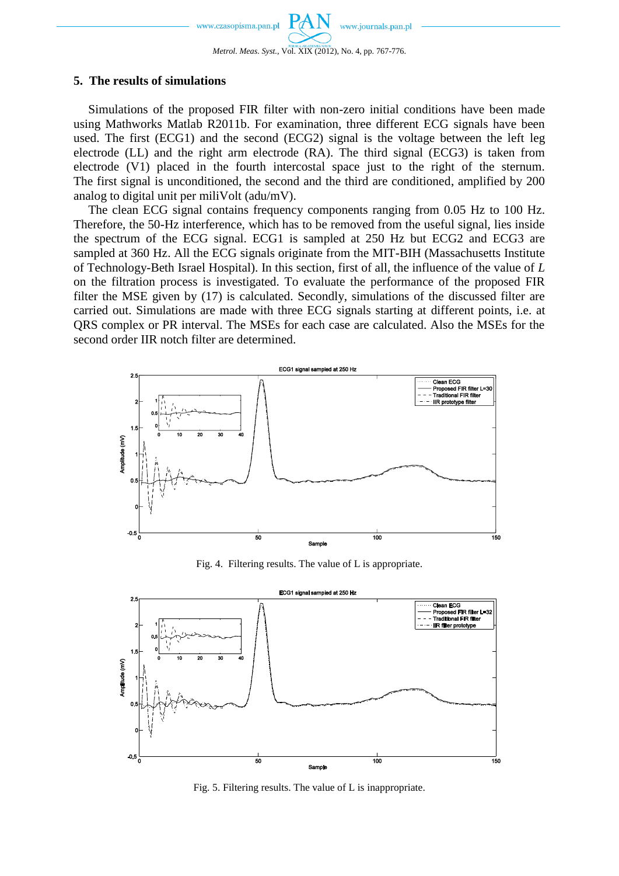www.journals.pan.pl www.czasopisma.pan.pl *Metrol. Meas. Syst.*, Vol. XIX (2012), No. 4, pp. 767-776.

# **5. The results of simulations**

Simulations of the proposed FIR filter with non-zero initial conditions have been made using Mathworks Matlab R2011b. For examination, three different ECG signals have been used. The first (ECG1) and the second (ECG2) signal is the voltage between the left leg electrode (LL) and the right arm electrode (RA). The third signal (ECG3) is taken from electrode (V1) placed in the fourth intercostal space just to the right of the sternum. The first signal is unconditioned, the second and the third are conditioned, amplified by 200 analog to digital unit per miliVolt (adu/mV).

The clean ECG signal contains frequency components ranging from 0.05 Hz to 100 Hz. Therefore, the 50-Hz interference, which has to be removed from the useful signal, lies inside the spectrum of the ECG signal. ECG1 is sampled at 250 Hz but ECG2 and ECG3 are sampled at 360 Hz. All the ECG signals originate from the MIT-BIH (Massachusetts Institute of Technology-Beth Israel Hospital). In this section, first of all, the influence of the value of *L* on the filtration process is investigated. To evaluate the performance of the proposed FIR filter the MSE given by (17) is calculated. Secondly, simulations of the discussed filter are carried out. Simulations are made with three ECG signals starting at different points, i.e. at QRS complex or PR interval. The MSEs for each case are calculated. Also the MSEs for the second order IIR notch filter are determined.



Fig. 4. Filtering results. The value of L is appropriate.



Fig. 5. Filtering results. The value of L is inappropriate.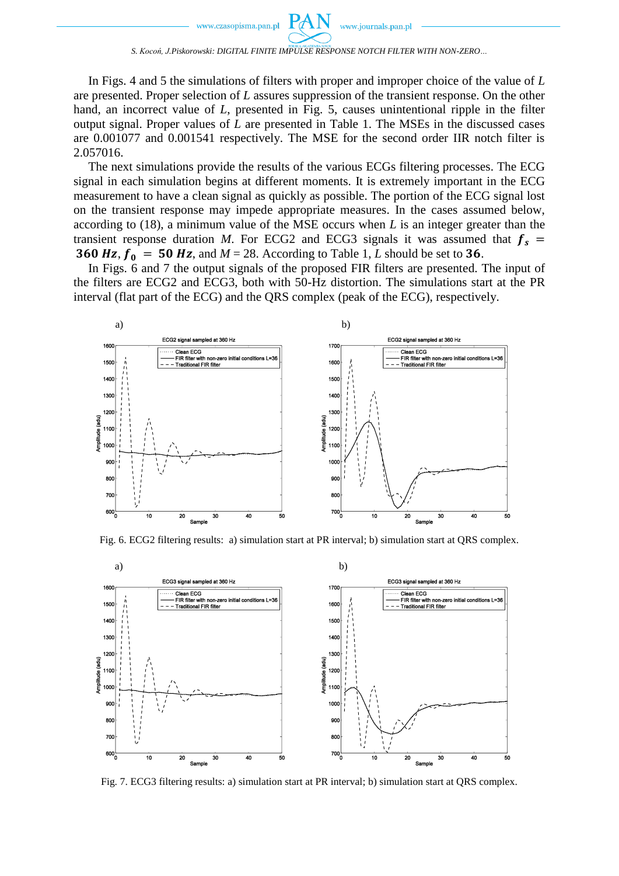In Figs. 4 and 5 the simulations of filters with proper and improper choice of the value of *L* are presented. Proper selection of *L* assures suppression of the transient response. On the other hand, an incorrect value of *L*, presented in Fig. 5, causes unintentional ripple in the filter output signal. Proper values of *L* are presented in Table 1. The MSEs in the discussed cases are 0.001077 and 0.001541 respectively. The MSE for the second order IIR notch filter is 2.057016.

The next simulations provide the results of the various ECGs filtering processes. The ECG signal in each simulation begins at different moments. It is extremely important in the ECG measurement to have a clean signal as quickly as possible. The portion of the ECG signal lost on the transient response may impede appropriate measures. In the cases assumed below, according to (18), a minimum value of the MSE occurs when *L* is an integer greater than the transient response duration *M*. For ECG2 and ECG3 signals it was assumed that  $f_s$  = **360 Hz,**  $f_0 = 50$  **Hz,** and  $M = 28$ . According to Table 1, *L* should be set to **36**.

In Figs. 6 and 7 the output signals of the proposed FIR filters are presented. The input of the filters are ECG2 and ECG3, both with 50-Hz distortion. The simulations start at the PR interval (flat part of the ECG) and the QRS complex (peak of the ECG), respectively.



Fig. 6. ECG2 filtering results: a) simulation start at PR interval; b) simulation start at QRS complex.



Fig. 7. ECG3 filtering results: a) simulation start at PR interval; b) simulation start at QRS complex.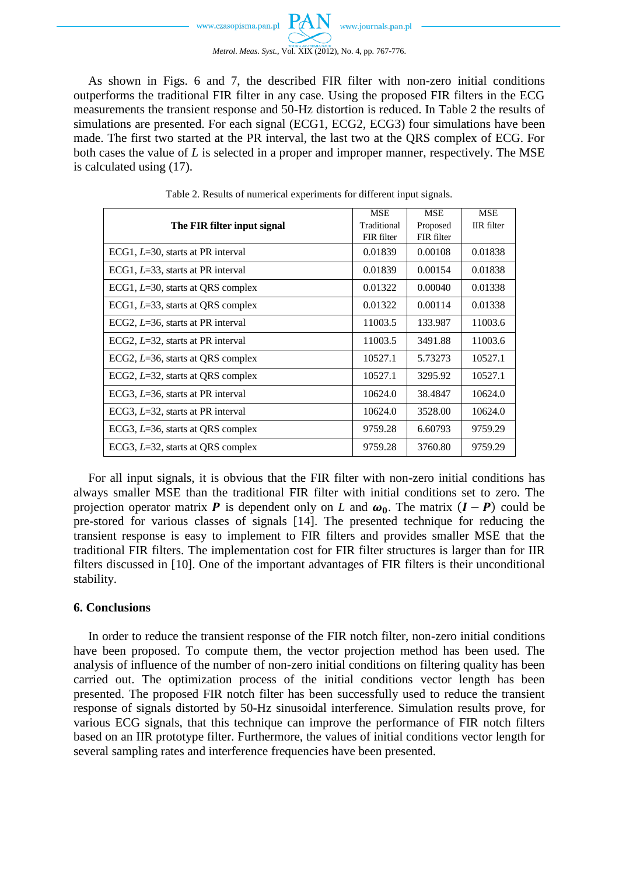www.journals.pan.pl www.czasopisma.pan.pl *Metrol. Meas. Syst.*, Vol. XIX (2012), No. 4, pp. 767-776.

As shown in Figs. 6 and 7, the described FIR filter with non-zero initial conditions outperforms the traditional FIR filter in any case. Using the proposed FIR filters in the ECG measurements the transient response and 50-Hz distortion is reduced. In Table 2 the results of simulations are presented. For each signal (ECG1, ECG2, ECG3) four simulations have been made. The first two started at the PR interval, the last two at the QRS complex of ECG. For both cases the value of *L* is selected in a proper and improper manner, respectively. The MSE is calculated using (17).

|                                      | <b>MSE</b>  | <b>MSE</b> | <b>MSE</b>        |
|--------------------------------------|-------------|------------|-------------------|
| The FIR filter input signal          | Traditional | Proposed   | <b>IIR</b> filter |
|                                      | FIR filter  | FIR filter |                   |
| ECG1, $L=30$ , starts at PR interval | 0.01839     | 0.00108    | 0.01838           |
| ECG1, $L=33$ , starts at PR interval | 0.01839     | 0.00154    | 0.01838           |
| ECG1, $L=30$ , starts at QRS complex | 0.01322     | 0.00040    | 0.01338           |
| ECG1, $L=33$ , starts at QRS complex | 0.01322     | 0.00114    | 0.01338           |
| ECG2, $L=36$ , starts at PR interval | 11003.5     | 133.987    | 11003.6           |
| ECG2, $L=32$ , starts at PR interval | 11003.5     | 3491.88    | 11003.6           |
| ECG2, $L=36$ , starts at QRS complex | 10527.1     | 5.73273    | 10527.1           |
| ECG2, $L=32$ , starts at QRS complex | 10527.1     | 3295.92    | 10527.1           |
| ECG3, $L=36$ , starts at PR interval | 10624.0     | 38.4847    | 10624.0           |
| ECG3, $L=32$ , starts at PR interval | 10624.0     | 3528.00    | 10624.0           |
| ECG3, $L=36$ , starts at QRS complex | 9759.28     | 6.60793    | 9759.29           |
| ECG3, $L=32$ , starts at QRS complex | 9759.28     | 3760.80    | 9759.29           |

Table 2. Results of numerical experiments for different input signals.

For all input signals, it is obvious that the FIR filter with non-zero initial conditions has always smaller MSE than the traditional FIR filter with initial conditions set to zero. The projection operator matrix **P** is dependent only on *L* and  $\omega_0$ . The matrix  $(I - P)$  could be pre-stored for various classes of signals [14]. The presented technique for reducing the transient response is easy to implement to FIR filters and provides smaller MSE that the traditional FIR filters. The implementation cost for FIR filter structures is larger than for IIR filters discussed in [10]. One of the important advantages of FIR filters is their unconditional stability.

# **6. Conclusions**

In order to reduce the transient response of the FIR notch filter, non-zero initial conditions have been proposed. To compute them, the vector projection method has been used. The analysis of influence of the number of non-zero initial conditions on filtering quality has been carried out. The optimization process of the initial conditions vector length has been presented. The proposed FIR notch filter has been successfully used to reduce the transient response of signals distorted by 50-Hz sinusoidal interference. Simulation results prove, for various ECG signals, that this technique can improve the performance of FIR notch filters based on an IIR prototype filter. Furthermore, the values of initial conditions vector length for several sampling rates and interference frequencies have been presented.